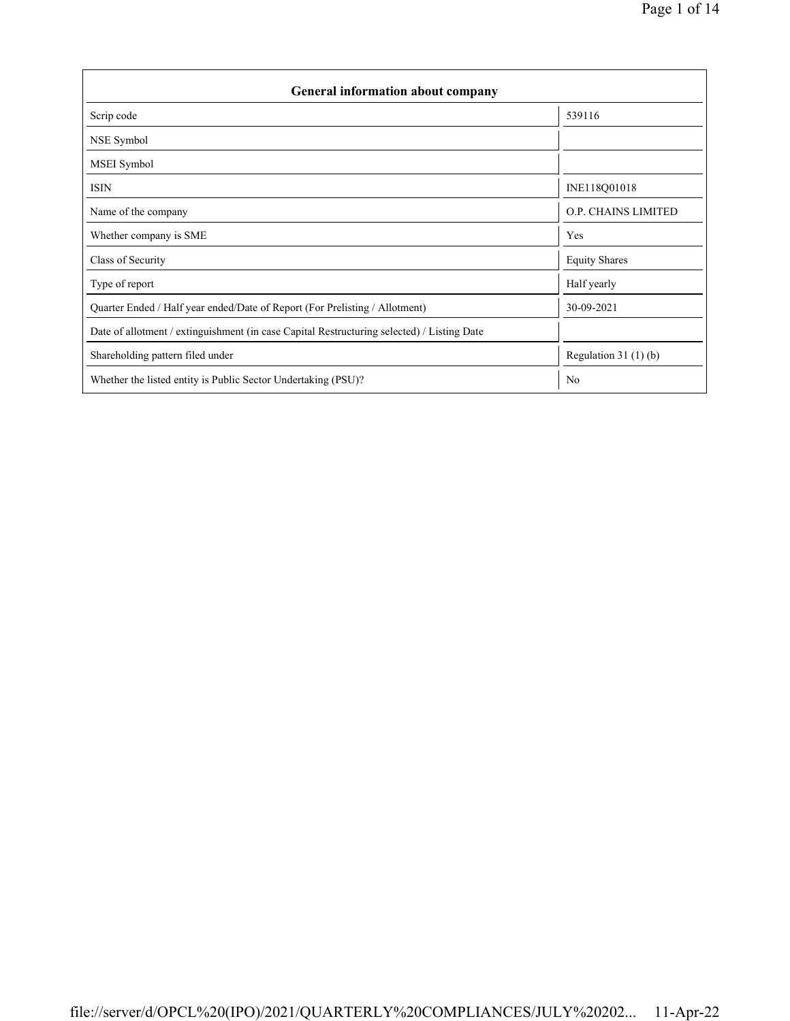| <b>General information about company</b>                                                   |                            |  |  |  |  |  |  |  |
|--------------------------------------------------------------------------------------------|----------------------------|--|--|--|--|--|--|--|
| Scrip code                                                                                 | 539116                     |  |  |  |  |  |  |  |
| NSE Symbol                                                                                 |                            |  |  |  |  |  |  |  |
| <b>MSEI</b> Symbol                                                                         |                            |  |  |  |  |  |  |  |
| <b>ISIN</b>                                                                                | INE118Q01018               |  |  |  |  |  |  |  |
| Name of the company                                                                        | <b>O.P. CHAINS LIMITED</b> |  |  |  |  |  |  |  |
| Whether company is SME                                                                     | Yes                        |  |  |  |  |  |  |  |
| Class of Security                                                                          | <b>Equity Shares</b>       |  |  |  |  |  |  |  |
| Type of report                                                                             | Half yearly                |  |  |  |  |  |  |  |
| Quarter Ended / Half year ended/Date of Report (For Prelisting / Allotment)                | 30-09-2021                 |  |  |  |  |  |  |  |
| Date of allotment / extinguishment (in case Capital Restructuring selected) / Listing Date |                            |  |  |  |  |  |  |  |
| Shareholding pattern filed under                                                           | Regulation $31(1)(b)$      |  |  |  |  |  |  |  |
| Whether the listed entity is Public Sector Undertaking (PSU)?                              | N <sub>0</sub>             |  |  |  |  |  |  |  |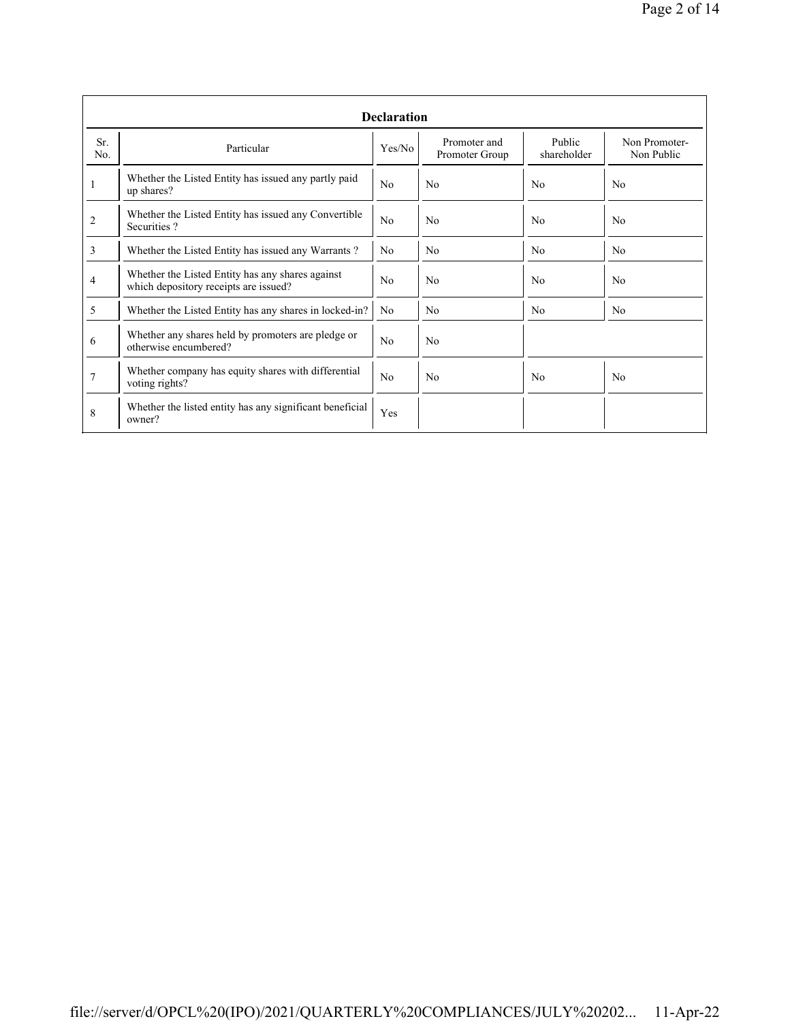|                | <b>Declaration</b>                                                                        |                |                                |                       |                             |  |  |  |  |  |  |
|----------------|-------------------------------------------------------------------------------------------|----------------|--------------------------------|-----------------------|-----------------------------|--|--|--|--|--|--|
| Sr.<br>No.     | Particular                                                                                | Yes/No         | Promoter and<br>Promoter Group | Public<br>shareholder | Non Promoter-<br>Non Public |  |  |  |  |  |  |
| 1              | Whether the Listed Entity has issued any partly paid<br>up shares?                        | No             | N <sub>0</sub>                 | No                    | N <sub>0</sub>              |  |  |  |  |  |  |
| $\overline{2}$ | Whether the Listed Entity has issued any Convertible<br>Securities?                       | No             | N <sub>0</sub>                 | N <sub>0</sub>        | N <sub>0</sub>              |  |  |  |  |  |  |
| 3              | Whether the Listed Entity has issued any Warrants?                                        | N <sub>0</sub> | N <sub>0</sub>                 | N <sub>o</sub>        | N <sub>0</sub>              |  |  |  |  |  |  |
| 4              | Whether the Listed Entity has any shares against<br>which depository receipts are issued? |                | No                             | N <sub>0</sub>        | N <sub>0</sub>              |  |  |  |  |  |  |
| 5              | Whether the Listed Entity has any shares in locked-in?                                    | N <sub>0</sub> | N <sub>0</sub>                 | No                    | N <sub>0</sub>              |  |  |  |  |  |  |
| 6              | Whether any shares held by promoters are pledge or<br>otherwise encumbered?               | No             | N <sub>0</sub>                 |                       |                             |  |  |  |  |  |  |
| 7              | Whether company has equity shares with differential<br>voting rights?                     | No             | N <sub>0</sub>                 | No                    | N <sub>0</sub>              |  |  |  |  |  |  |
| 8              | Whether the listed entity has any significant beneficial<br>owner?                        | Yes            |                                |                       |                             |  |  |  |  |  |  |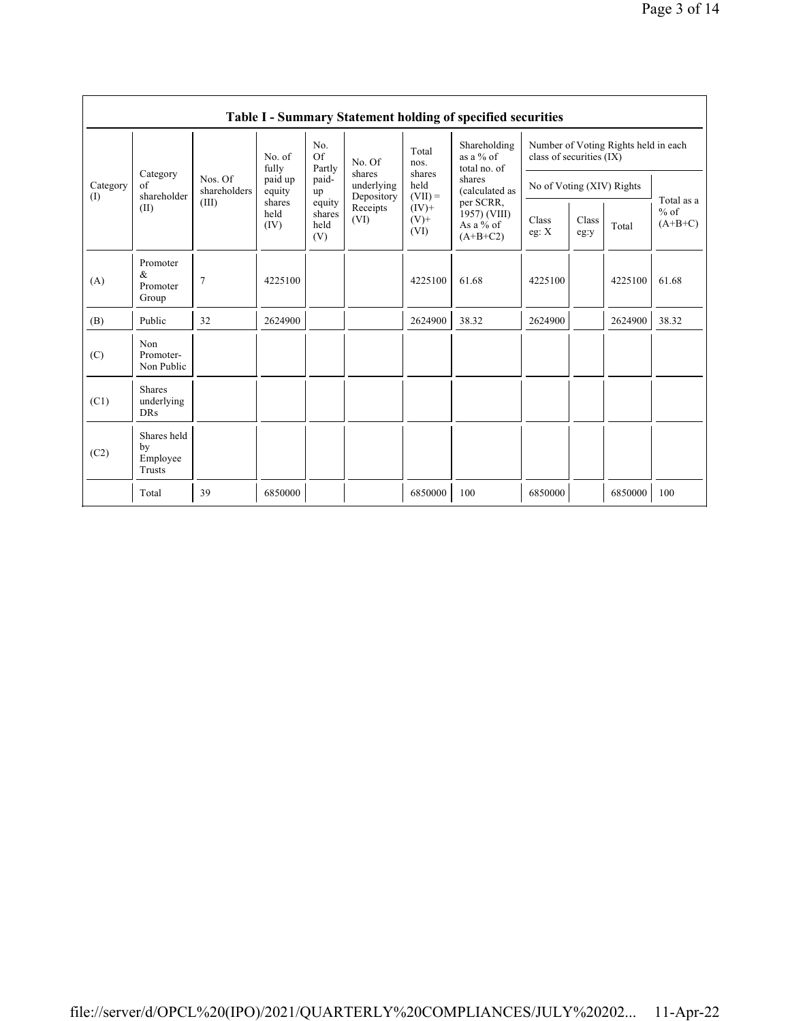|                 | Table I - Summary Statement holding of specified securities |                         |                        |                                 |                  |                             |                                                        |                                                                  |                      |            |                                   |                          |                           |  |  |  |
|-----------------|-------------------------------------------------------------|-------------------------|------------------------|---------------------------------|------------------|-----------------------------|--------------------------------------------------------|------------------------------------------------------------------|----------------------|------------|-----------------------------------|--------------------------|---------------------------|--|--|--|
|                 |                                                             |                         | No. of<br>fully        | No.<br><b>Of</b><br>Partly      | No. Of           | Total<br>nos.               | Shareholding<br>as a $%$ of<br>total no. of            | Number of Voting Rights held in each<br>class of securities (IX) |                      |            |                                   |                          |                           |  |  |  |
| Category<br>(1) | Category<br>of<br>shareholder                               | Nos. Of<br>shareholders | paid up<br>equity      |                                 |                  |                             |                                                        | paid-<br>up                                                      | shares<br>underlying | Depository | shares<br>held<br>$(VII) =$       | shares<br>(calculated as | No of Voting (XIV) Rights |  |  |  |
|                 | (II)                                                        | (III)                   | shares<br>held<br>(IV) | equity<br>shares<br>held<br>(V) | Receipts<br>(VI) | $(IV)$ +<br>$(V)$ +<br>(VI) | per SCRR,<br>1957) (VIII)<br>As a $%$ of<br>$(A+B+C2)$ | Class<br>eg: $X$                                                 | Class<br>eg:y        | Total      | Total as a<br>$%$ of<br>$(A+B+C)$ |                          |                           |  |  |  |
| (A)             | Promoter<br>$\&$<br>Promoter<br>Group                       | $\overline{7}$          | 4225100                |                                 |                  | 4225100                     | 61.68                                                  | 4225100                                                          |                      | 4225100    | 61.68                             |                          |                           |  |  |  |
| (B)             | Public                                                      | 32                      | 2624900                |                                 |                  | 2624900                     | 38.32                                                  | 2624900                                                          |                      | 2624900    | 38.32                             |                          |                           |  |  |  |
| (C)             | Non<br>Promoter-<br>Non Public                              |                         |                        |                                 |                  |                             |                                                        |                                                                  |                      |            |                                   |                          |                           |  |  |  |
| (C1)            | <b>Shares</b><br>underlying<br><b>DRs</b>                   |                         |                        |                                 |                  |                             |                                                        |                                                                  |                      |            |                                   |                          |                           |  |  |  |
| (C2)            | Shares held<br>by<br>Employee<br>Trusts                     |                         |                        |                                 |                  |                             |                                                        |                                                                  |                      |            |                                   |                          |                           |  |  |  |
|                 | Total                                                       | 39                      | 6850000                |                                 |                  | 6850000                     | 100                                                    | 6850000                                                          |                      | 6850000    | 100                               |                          |                           |  |  |  |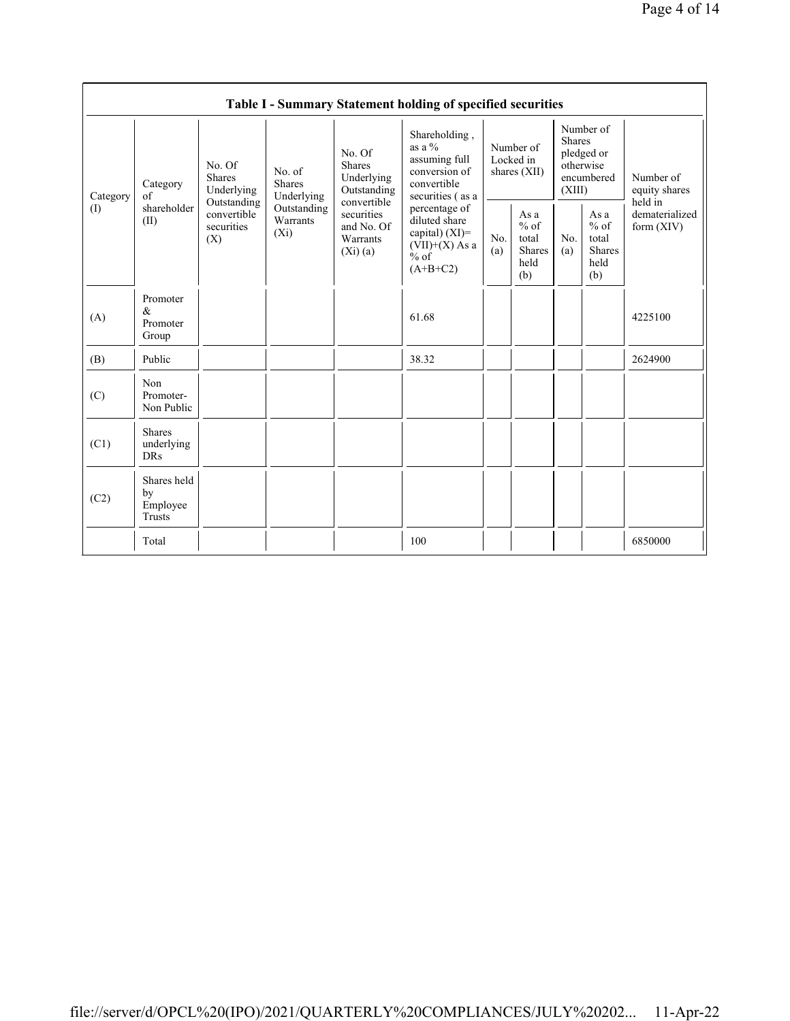| Table I - Summary Statement holding of specified securities |                                           |                                                                                   |                                                                             |                                                                                                                        |                                                                                                 |                                        |                                                         |                                                                               |                                                         |                                       |  |
|-------------------------------------------------------------|-------------------------------------------|-----------------------------------------------------------------------------------|-----------------------------------------------------------------------------|------------------------------------------------------------------------------------------------------------------------|-------------------------------------------------------------------------------------------------|----------------------------------------|---------------------------------------------------------|-------------------------------------------------------------------------------|---------------------------------------------------------|---------------------------------------|--|
| Category<br>$\left( \mathrm{I}\right)$                      | Category<br>of<br>shareholder<br>(II)     | No. Of<br>Shares<br>Underlying<br>Outstanding<br>convertible<br>securities<br>(X) | No. of<br><b>Shares</b><br>Underlying<br>Outstanding<br>Warrants<br>$(X_i)$ | No. Of<br><b>Shares</b><br>Underlying<br>Outstanding<br>convertible<br>securities<br>and No. Of<br>Warrants<br>(Xi)(a) | Shareholding,<br>as a $%$<br>assuming full<br>conversion of<br>convertible<br>securities (as a  | Number of<br>Locked in<br>shares (XII) |                                                         | Number of<br><b>Shares</b><br>pledged or<br>otherwise<br>encumbered<br>(XIII) |                                                         | Number of<br>equity shares<br>held in |  |
|                                                             |                                           |                                                                                   |                                                                             |                                                                                                                        | percentage of<br>diluted share<br>capital) $(XI)$ =<br>$(VII)+(X)$ As a<br>$%$ of<br>$(A+B+C2)$ | No.<br>(a)                             | As a<br>$%$ of<br>total<br><b>Shares</b><br>held<br>(b) | No.<br>(a)                                                                    | As a<br>$%$ of<br>total<br><b>Shares</b><br>held<br>(b) | dematerialized<br>form $(XIV)$        |  |
| (A)                                                         | Promoter<br>$\&$<br>Promoter<br>Group     |                                                                                   |                                                                             |                                                                                                                        | 61.68                                                                                           |                                        |                                                         |                                                                               |                                                         | 4225100                               |  |
| (B)                                                         | Public                                    |                                                                                   |                                                                             |                                                                                                                        | 38.32                                                                                           |                                        |                                                         |                                                                               |                                                         | 2624900                               |  |
| (C)                                                         | Non<br>Promoter-<br>Non Public            |                                                                                   |                                                                             |                                                                                                                        |                                                                                                 |                                        |                                                         |                                                                               |                                                         |                                       |  |
| (C1)                                                        | <b>Shares</b><br>underlying<br><b>DRs</b> |                                                                                   |                                                                             |                                                                                                                        |                                                                                                 |                                        |                                                         |                                                                               |                                                         |                                       |  |
| (C2)                                                        | Shares held<br>by<br>Employee<br>Trusts   |                                                                                   |                                                                             |                                                                                                                        |                                                                                                 |                                        |                                                         |                                                                               |                                                         |                                       |  |
|                                                             | Total                                     |                                                                                   |                                                                             |                                                                                                                        | 100                                                                                             |                                        |                                                         |                                                                               |                                                         | 6850000                               |  |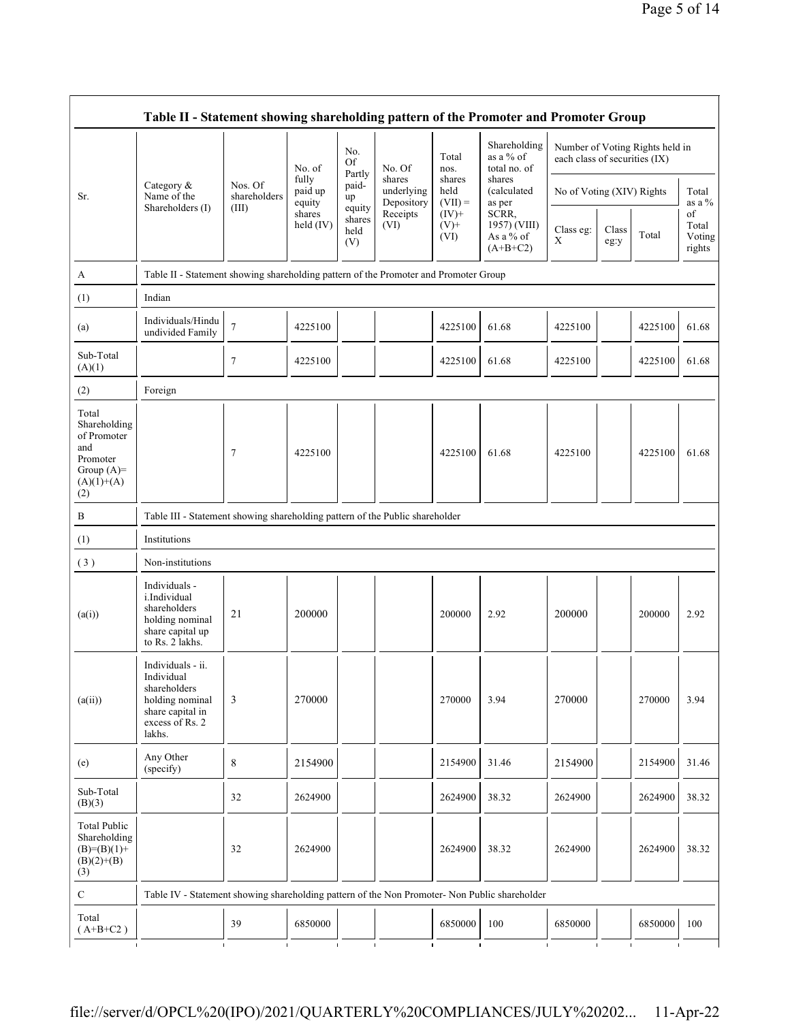| Table II - Statement showing shareholding pattern of the Promoter and Promoter Group           |                                                                                                                     |                         |                            |                                 |                                    |                             |                                                  |                               |               |                                 |                                 |  |
|------------------------------------------------------------------------------------------------|---------------------------------------------------------------------------------------------------------------------|-------------------------|----------------------------|---------------------------------|------------------------------------|-----------------------------|--------------------------------------------------|-------------------------------|---------------|---------------------------------|---------------------------------|--|
|                                                                                                |                                                                                                                     |                         | No. of                     | No.<br>Of<br>Partly             | No. Of                             | Total<br>nos.               | Shareholding<br>as a $%$ of<br>total no. of      | each class of securities (IX) |               | Number of Voting Rights held in |                                 |  |
| Sr.                                                                                            | Category $\&$<br>Name of the                                                                                        | Nos. Of<br>shareholders | fully<br>paid up<br>equity | paid-<br>up                     | shares<br>underlying<br>Depository | shares<br>held<br>$(VII) =$ | shares<br>(calculated<br>as per                  | No of Voting (XIV) Rights     |               |                                 | Total<br>as a %                 |  |
|                                                                                                | Shareholders (I)                                                                                                    | (III)                   | shares<br>held (IV)        | equity<br>shares<br>held<br>(V) | Receipts<br>(VI)                   | $(IV)+$<br>$(V)$ +<br>(VI)  | SCRR,<br>1957) (VIII)<br>As a % of<br>$(A+B+C2)$ | Class eg:<br>$\mathbf X$      | Class<br>eg:y | Total                           | of<br>Total<br>Voting<br>rights |  |
| А                                                                                              | Table II - Statement showing shareholding pattern of the Promoter and Promoter Group                                |                         |                            |                                 |                                    |                             |                                                  |                               |               |                                 |                                 |  |
| (1)                                                                                            | Indian                                                                                                              |                         |                            |                                 |                                    |                             |                                                  |                               |               |                                 |                                 |  |
| (a)                                                                                            | Individuals/Hindu<br>undivided Family                                                                               | $\overline{7}$          | 4225100                    |                                 |                                    | 4225100                     | 61.68                                            | 4225100                       |               | 4225100                         | 61.68                           |  |
| Sub-Total<br>(A)(1)                                                                            |                                                                                                                     | $\tau$                  | 4225100                    |                                 |                                    | 4225100                     | 61.68                                            | 4225100                       |               | 4225100                         | 61.68                           |  |
| (2)                                                                                            | Foreign                                                                                                             |                         |                            |                                 |                                    |                             |                                                  |                               |               |                                 |                                 |  |
| Total<br>Shareholding<br>of Promoter<br>and<br>Promoter<br>Group $(A)=$<br>$(A)(1)+(A)$<br>(2) |                                                                                                                     | $\tau$                  | 4225100                    |                                 |                                    | 4225100                     | 61.68                                            | 4225100                       |               | 4225100                         | 61.68                           |  |
| B                                                                                              | Table III - Statement showing shareholding pattern of the Public shareholder                                        |                         |                            |                                 |                                    |                             |                                                  |                               |               |                                 |                                 |  |
| (1)                                                                                            | Institutions                                                                                                        |                         |                            |                                 |                                    |                             |                                                  |                               |               |                                 |                                 |  |
| (3)                                                                                            | Non-institutions                                                                                                    |                         |                            |                                 |                                    |                             |                                                  |                               |               |                                 |                                 |  |
| (a(i))                                                                                         | Individuals -<br>i.Individual<br>shareholders<br>holding nominal<br>share capital up<br>to Rs. 2 lakhs.             | 21                      | 200000                     |                                 |                                    | 200000                      | 2.92                                             | 200000                        |               | 200000                          | 2.92                            |  |
| (a(ii))                                                                                        | Individuals - ii.<br>Individual<br>shareholders<br>holding nominal<br>share capital in<br>excess of Rs. 2<br>lakhs. | 3                       | 270000                     |                                 |                                    | 270000                      | 3.94                                             | 270000                        |               | 270000                          | 3.94                            |  |
| (e)                                                                                            | Any Other<br>(specify)                                                                                              | 8                       | 2154900                    |                                 |                                    | 2154900                     | 31.46                                            | 2154900                       |               | 2154900                         | 31.46                           |  |
| Sub-Total<br>(B)(3)                                                                            |                                                                                                                     | 32                      | 2624900                    |                                 |                                    | 2624900                     | 38.32                                            | 2624900                       |               | 2624900                         | 38.32                           |  |
| <b>Total Public</b><br>Shareholding<br>$(B)= (B)(1) +$<br>$(B)(2)+(B)$<br>(3)                  |                                                                                                                     | 32                      | 2624900                    |                                 |                                    | 2624900                     | 38.32                                            | 2624900                       |               | 2624900                         | 38.32                           |  |
| $\mathbf C$                                                                                    | Table IV - Statement showing shareholding pattern of the Non Promoter- Non Public shareholder                       |                         |                            |                                 |                                    |                             |                                                  |                               |               |                                 |                                 |  |
| Total<br>$(A+B+C2)$                                                                            |                                                                                                                     | 39                      | 6850000                    |                                 |                                    | 6850000                     | 100                                              | 6850000                       |               | 6850000                         | 100                             |  |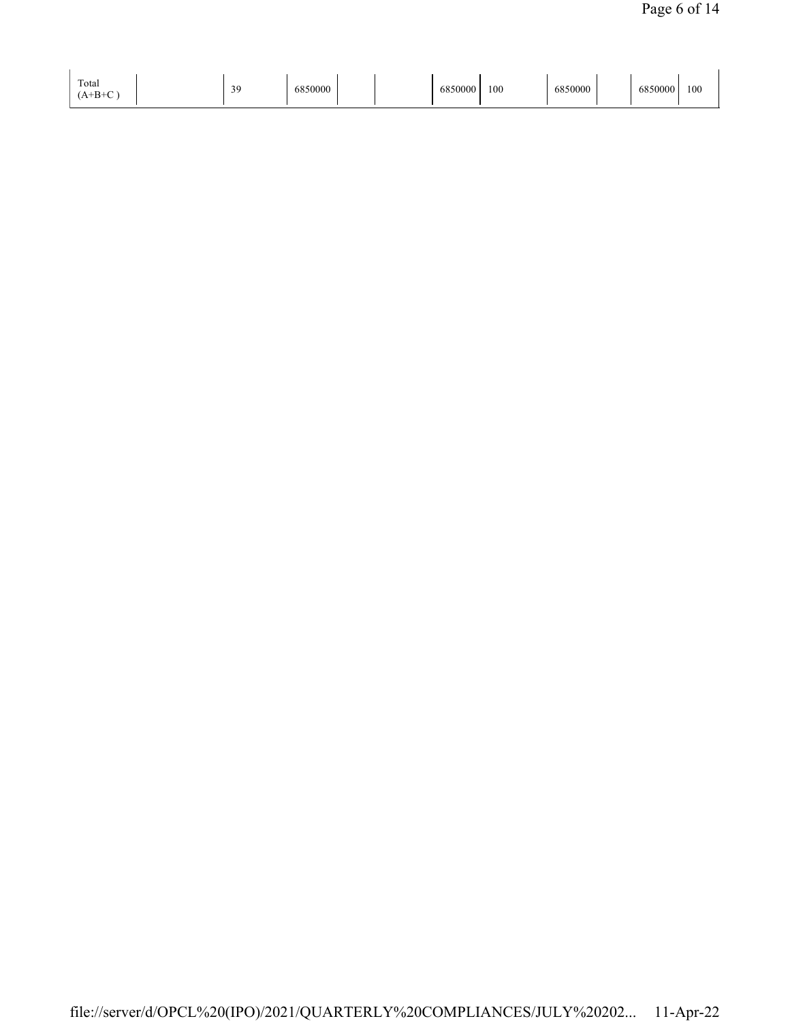| Total | $\Delta$<br><br>ر ر | 850000 |  | 6850000 | 100 | 6850000 |  | 6850000 | 100 |
|-------|---------------------|--------|--|---------|-----|---------|--|---------|-----|
|-------|---------------------|--------|--|---------|-----|---------|--|---------|-----|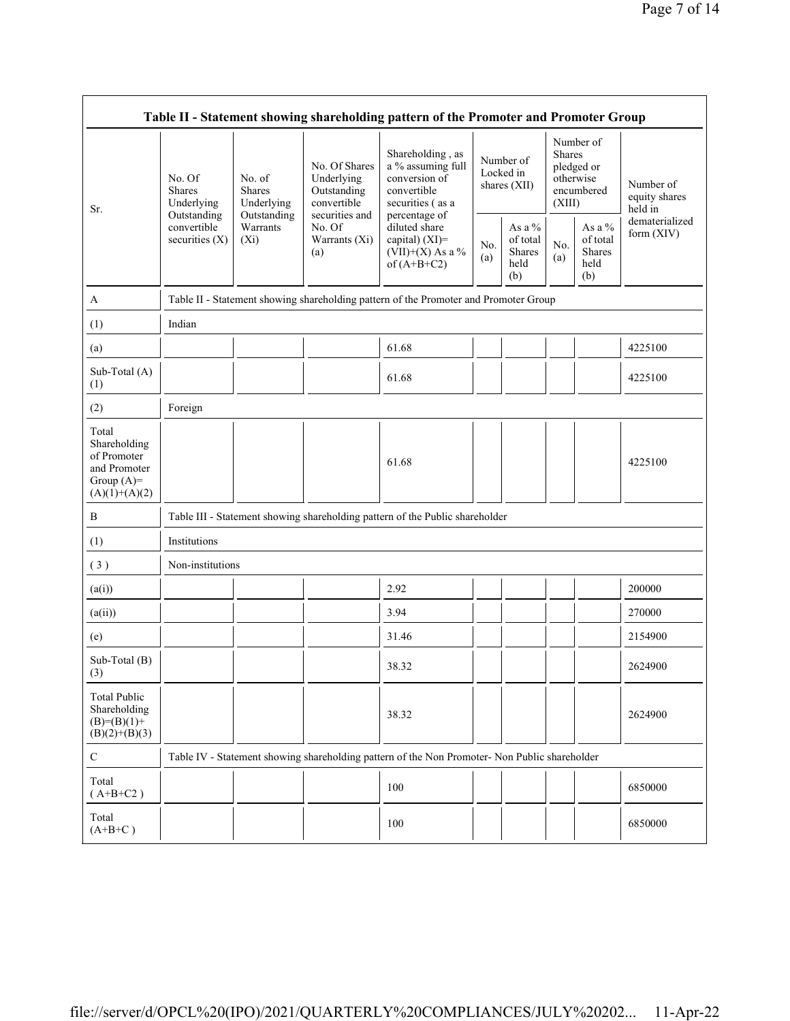| Table II - Statement showing shareholding pattern of the Promoter and Promoter Group    |                                                                                         |                                                                                    |                                                           |                                                                                                                                                                                       |            |                                                    |                         |                                                    |                                       |  |  |
|-----------------------------------------------------------------------------------------|-----------------------------------------------------------------------------------------|------------------------------------------------------------------------------------|-----------------------------------------------------------|---------------------------------------------------------------------------------------------------------------------------------------------------------------------------------------|------------|----------------------------------------------------|-------------------------|----------------------------------------------------|---------------------------------------|--|--|
| Sr.                                                                                     | No. Of<br><b>Shares</b><br>Underlying<br>Outstanding<br>convertible<br>securities $(X)$ | No. of<br><b>Shares</b><br>Underlying<br>Outstanding<br>Warrants<br>$(X_i)$<br>(a) | No. Of Shares<br>Underlying<br>Outstanding<br>convertible | Shareholding, as<br>a % assuming full<br>conversion of<br>convertible<br>securities (as a<br>percentage of<br>diluted share<br>capital) $(XI)$ =<br>(VII)+(X) As a %<br>of $(A+B+C2)$ |            | Number of<br>Locked in<br>shares (XII)             | <b>Shares</b><br>(XIII) | Number of<br>pledged or<br>otherwise<br>encumbered | Number of<br>equity shares<br>held in |  |  |
|                                                                                         |                                                                                         |                                                                                    | securities and<br>No. Of<br>Warrants (Xi)                 |                                                                                                                                                                                       | No.<br>(a) | As a %<br>of total<br><b>Shares</b><br>held<br>(b) | No.<br>(a)              | As a $\%$<br>of total<br>Shares<br>held<br>(b)     | dematerialized<br>form (XIV)          |  |  |
| A                                                                                       | Table II - Statement showing shareholding pattern of the Promoter and Promoter Group    |                                                                                    |                                                           |                                                                                                                                                                                       |            |                                                    |                         |                                                    |                                       |  |  |
| (1)                                                                                     | Indian                                                                                  |                                                                                    |                                                           |                                                                                                                                                                                       |            |                                                    |                         |                                                    |                                       |  |  |
| (a)                                                                                     |                                                                                         |                                                                                    |                                                           | 61.68                                                                                                                                                                                 |            |                                                    |                         |                                                    | 4225100                               |  |  |
| Sub-Total (A)<br>(1)                                                                    |                                                                                         |                                                                                    |                                                           | 61.68                                                                                                                                                                                 |            |                                                    |                         |                                                    | 4225100                               |  |  |
| (2)                                                                                     | Foreign                                                                                 |                                                                                    |                                                           |                                                                                                                                                                                       |            |                                                    |                         |                                                    |                                       |  |  |
| Total<br>Shareholding<br>of Promoter<br>and Promoter<br>Group $(A)=$<br>$(A)(1)+(A)(2)$ |                                                                                         |                                                                                    |                                                           | 61.68                                                                                                                                                                                 |            |                                                    |                         |                                                    | 4225100                               |  |  |
| B                                                                                       |                                                                                         |                                                                                    |                                                           | Table III - Statement showing shareholding pattern of the Public shareholder                                                                                                          |            |                                                    |                         |                                                    |                                       |  |  |
| (1)                                                                                     | Institutions                                                                            |                                                                                    |                                                           |                                                                                                                                                                                       |            |                                                    |                         |                                                    |                                       |  |  |
| (3)                                                                                     | Non-institutions                                                                        |                                                                                    |                                                           |                                                                                                                                                                                       |            |                                                    |                         |                                                    |                                       |  |  |
| (a(i))                                                                                  |                                                                                         |                                                                                    |                                                           | 2.92                                                                                                                                                                                  |            |                                                    |                         |                                                    | 200000                                |  |  |
| (a(ii))                                                                                 |                                                                                         |                                                                                    |                                                           | 3.94                                                                                                                                                                                  |            |                                                    |                         |                                                    | 270000                                |  |  |
| (e)                                                                                     |                                                                                         |                                                                                    |                                                           | 31.46                                                                                                                                                                                 |            |                                                    |                         |                                                    | 2154900                               |  |  |
| Sub-Total (B)<br>(3)                                                                    |                                                                                         |                                                                                    |                                                           | 38.32                                                                                                                                                                                 |            |                                                    |                         |                                                    | 2624900                               |  |  |
| <b>Total Public</b><br>Shareholding<br>$(B)= (B)(1) +$<br>$(B)(2)+(B)(3)$               |                                                                                         |                                                                                    |                                                           | 38.32                                                                                                                                                                                 |            |                                                    |                         |                                                    | 2624900                               |  |  |
| $\mathbf C$                                                                             |                                                                                         |                                                                                    |                                                           | Table IV - Statement showing shareholding pattern of the Non Promoter- Non Public shareholder                                                                                         |            |                                                    |                         |                                                    |                                       |  |  |
| Total<br>$(A+B+C2)$                                                                     |                                                                                         |                                                                                    |                                                           | 100                                                                                                                                                                                   |            |                                                    |                         |                                                    | 6850000                               |  |  |
| Total<br>$(A+B+C)$                                                                      |                                                                                         |                                                                                    |                                                           | 100                                                                                                                                                                                   |            |                                                    |                         |                                                    | 6850000                               |  |  |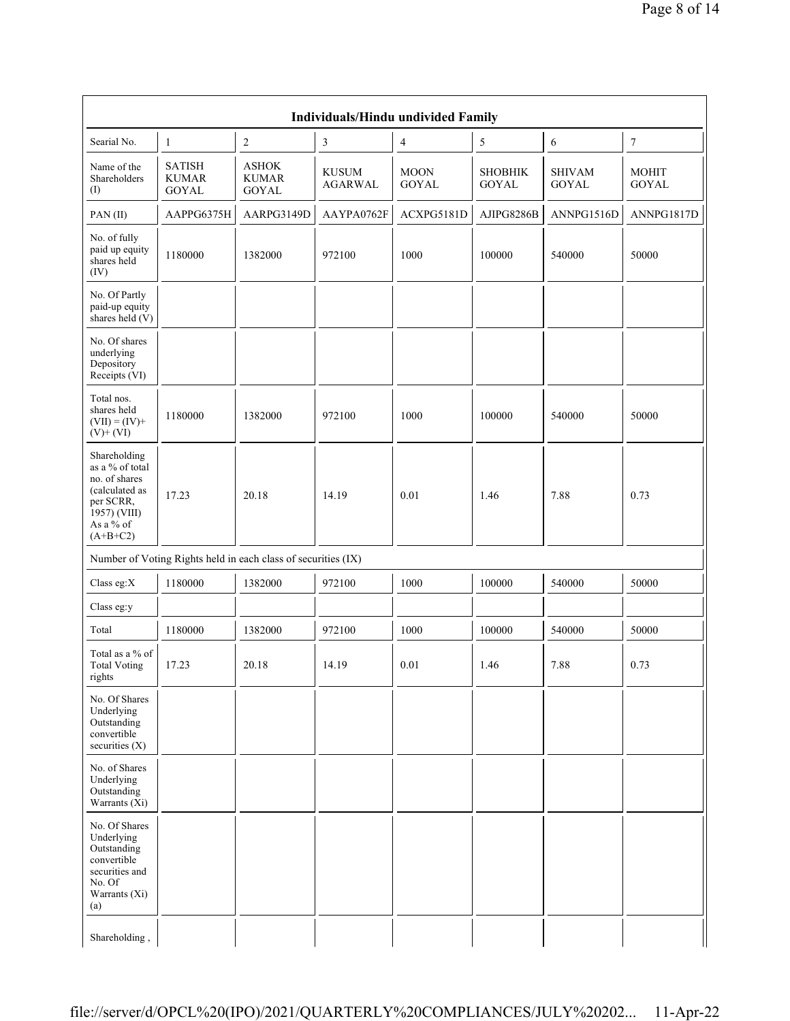|                                                                                                                            |                                                               |                                        |                                | Individuals/Hindu undivided Family |                                |                               |                              |
|----------------------------------------------------------------------------------------------------------------------------|---------------------------------------------------------------|----------------------------------------|--------------------------------|------------------------------------|--------------------------------|-------------------------------|------------------------------|
| Searial No.                                                                                                                | $\mathbf{1}$                                                  | $\boldsymbol{2}$                       | $\sqrt{3}$                     | 4                                  | 5                              | 6                             | $\boldsymbol{7}$             |
| Name of the<br>Shareholders<br>(I)                                                                                         | <b>SATISH</b><br><b>KUMAR</b><br><b>GOYAL</b>                 | ${\rm ASHOK}$<br>KUMAR<br><b>GOYAL</b> | <b>KUSUM</b><br><b>AGARWAL</b> | <b>MOON</b><br><b>GOYAL</b>        | <b>SHOBHIK</b><br><b>GOYAL</b> | <b>SHIVAM</b><br><b>GOYAL</b> | <b>MOHIT</b><br><b>GOYAL</b> |
| PAN(II)                                                                                                                    | AAPPG6375H                                                    | AARPG3149D                             | AAYPA0762F                     | ACXPG5181D                         | AJIPG8286B                     | ANNPG1516D                    | ANNPG1817D                   |
| No. of fully<br>paid up equity<br>shares held<br>(IV)                                                                      | 1180000                                                       | 1382000                                | 972100                         | 1000                               | 100000                         | 540000                        | 50000                        |
| No. Of Partly<br>paid-up equity<br>shares held (V)                                                                         |                                                               |                                        |                                |                                    |                                |                               |                              |
| No. Of shares<br>underlying<br>Depository<br>Receipts (VI)                                                                 |                                                               |                                        |                                |                                    |                                |                               |                              |
| Total nos.<br>shares held<br>$(VII) = (IV) +$<br>$(V)+(VI)$                                                                | 1180000                                                       | 1382000                                | 972100                         | 1000                               | 100000                         | 540000                        | 50000                        |
| Shareholding<br>as a % of total<br>no. of shares<br>(calculated as<br>per SCRR,<br>1957) (VIII)<br>As a % of<br>$(A+B+C2)$ | 17.23                                                         | 20.18                                  | 14.19                          | 0.01                               | 1.46                           | 7.88                          | 0.73                         |
|                                                                                                                            | Number of Voting Rights held in each class of securities (IX) |                                        |                                |                                    |                                |                               |                              |
| Class eg:X                                                                                                                 | 1180000                                                       | 1382000                                | 972100                         | 1000                               | 100000                         | 540000                        | 50000                        |
| Class eg:y                                                                                                                 |                                                               |                                        |                                |                                    |                                |                               |                              |
| Total                                                                                                                      | 1180000                                                       | 1382000                                | 972100                         | 1000                               | 100000                         | 540000                        | 50000                        |
| Total as a % of<br><b>Total Voting</b><br>rights                                                                           | 17.23                                                         | 20.18                                  | 14.19                          | $0.01\,$                           | 1.46                           | 7.88                          | 0.73                         |
| No. Of Shares<br>Underlying<br>Outstanding<br>convertible<br>securities $(X)$                                              |                                                               |                                        |                                |                                    |                                |                               |                              |
| No. of Shares<br>Underlying<br>Outstanding<br>Warrants $(X_i)$                                                             |                                                               |                                        |                                |                                    |                                |                               |                              |
| No. Of Shares<br>Underlying<br>Outstanding<br>convertible<br>securities and<br>No. Of<br>Warrants (Xi)<br>(a)              |                                                               |                                        |                                |                                    |                                |                               |                              |
| Shareholding,                                                                                                              |                                                               |                                        |                                |                                    |                                |                               |                              |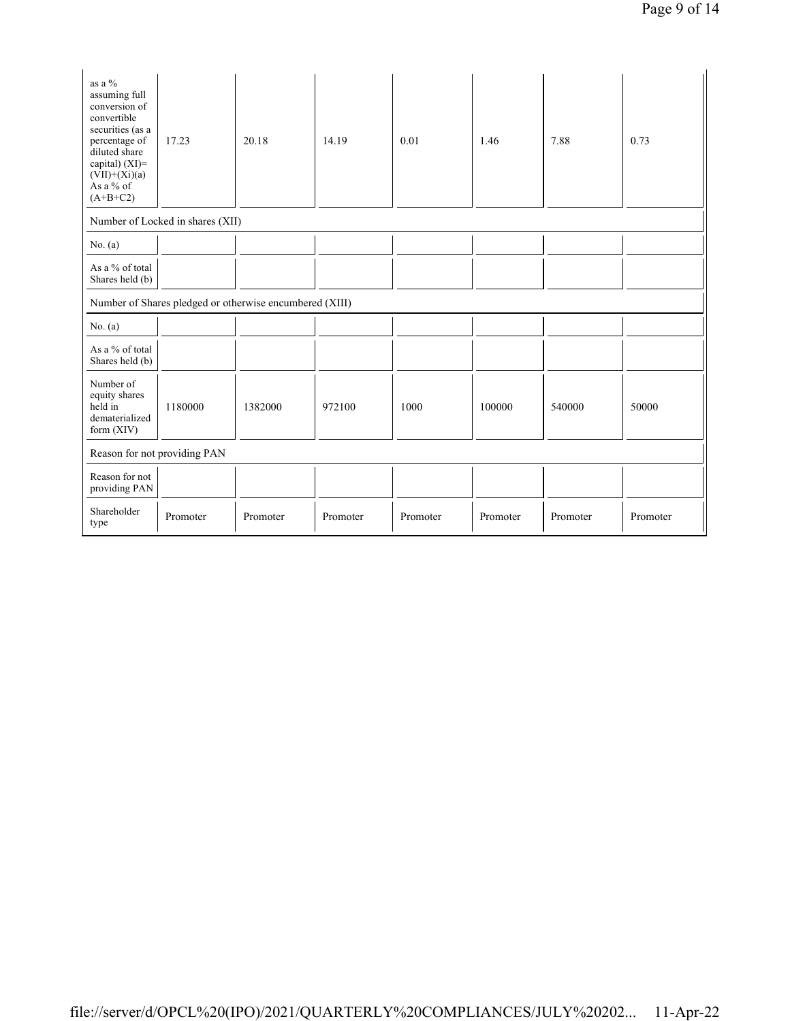| as a %<br>assuming full<br>conversion of<br>convertible<br>securities (as a<br>percentage of<br>diluted share<br>capital) (XI)=<br>$(VII)+(Xi)(a)$<br>As a % of<br>$(A+B+C2)$ | 17.23    | 20.18                                                   | 14.19    | 0.01     | 1.46     | 7.88     | 0.73     |  |  |  |
|-------------------------------------------------------------------------------------------------------------------------------------------------------------------------------|----------|---------------------------------------------------------|----------|----------|----------|----------|----------|--|--|--|
| Number of Locked in shares (XII)                                                                                                                                              |          |                                                         |          |          |          |          |          |  |  |  |
| No. $(a)$                                                                                                                                                                     |          |                                                         |          |          |          |          |          |  |  |  |
| As a % of total<br>Shares held (b)                                                                                                                                            |          |                                                         |          |          |          |          |          |  |  |  |
|                                                                                                                                                                               |          | Number of Shares pledged or otherwise encumbered (XIII) |          |          |          |          |          |  |  |  |
| No. $(a)$                                                                                                                                                                     |          |                                                         |          |          |          |          |          |  |  |  |
| As a % of total<br>Shares held (b)                                                                                                                                            |          |                                                         |          |          |          |          |          |  |  |  |
| Number of<br>equity shares<br>held in<br>dematerialized<br>form $(XIV)$                                                                                                       | 1180000  | 1382000                                                 | 972100   | 1000     | 100000   | 540000   | 50000    |  |  |  |
| Reason for not providing PAN                                                                                                                                                  |          |                                                         |          |          |          |          |          |  |  |  |
| Reason for not<br>providing PAN                                                                                                                                               |          |                                                         |          |          |          |          |          |  |  |  |
| Shareholder<br>type                                                                                                                                                           | Promoter | Promoter                                                | Promoter | Promoter | Promoter | Promoter | Promoter |  |  |  |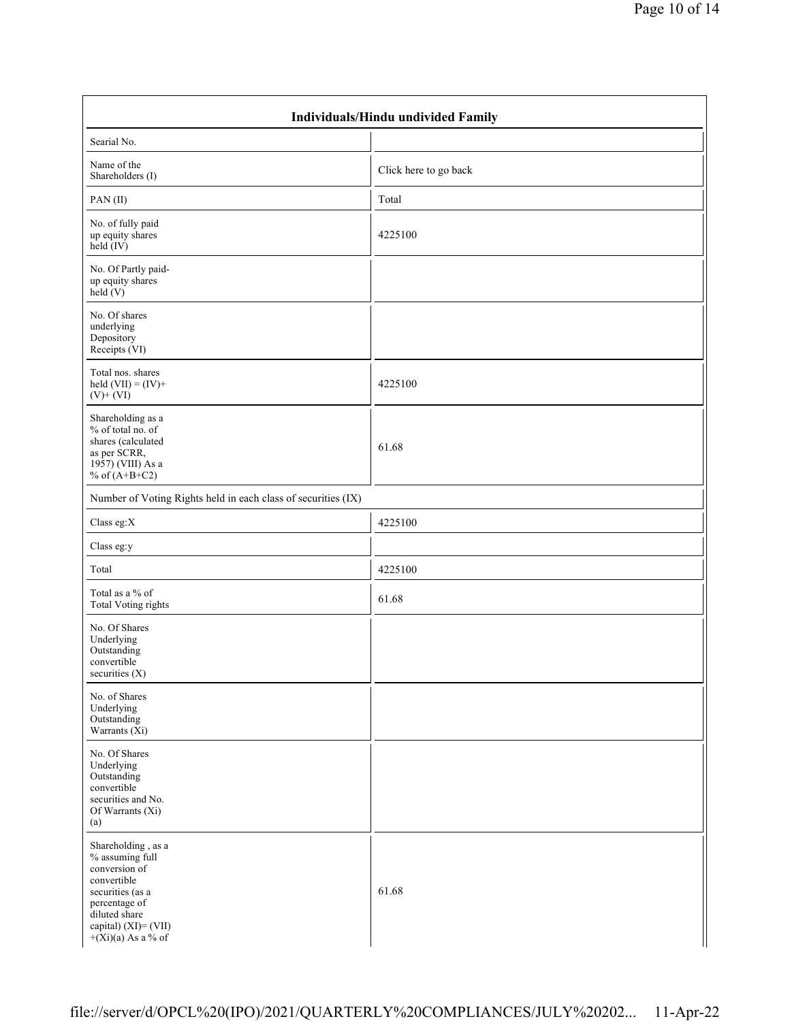| <b>Individuals/Hindu undivided Family</b>                                                                                                                                   |                       |  |  |  |  |  |  |  |
|-----------------------------------------------------------------------------------------------------------------------------------------------------------------------------|-----------------------|--|--|--|--|--|--|--|
| Searial No.                                                                                                                                                                 |                       |  |  |  |  |  |  |  |
| Name of the<br>Shareholders (I)                                                                                                                                             | Click here to go back |  |  |  |  |  |  |  |
| PAN(II)                                                                                                                                                                     | Total                 |  |  |  |  |  |  |  |
| No. of fully paid<br>up equity shares<br>held (IV)                                                                                                                          | 4225100               |  |  |  |  |  |  |  |
| No. Of Partly paid-<br>up equity shares<br>held $(V)$                                                                                                                       |                       |  |  |  |  |  |  |  |
| No. Of shares<br>underlying<br>Depository<br>Receipts (VI)                                                                                                                  |                       |  |  |  |  |  |  |  |
| Total nos. shares<br>held $(VII) = (IV) +$<br>$(V)$ + $(VI)$                                                                                                                | 4225100               |  |  |  |  |  |  |  |
| Shareholding as a<br>% of total no. of<br>shares (calculated<br>as per SCRR,<br>1957) (VIII) As a<br>% of $(A+B+C2)$                                                        | 61.68                 |  |  |  |  |  |  |  |
| Number of Voting Rights held in each class of securities (IX)                                                                                                               |                       |  |  |  |  |  |  |  |
| Class eg:X                                                                                                                                                                  | 4225100               |  |  |  |  |  |  |  |
| Class eg:y                                                                                                                                                                  |                       |  |  |  |  |  |  |  |
| Total                                                                                                                                                                       | 4225100               |  |  |  |  |  |  |  |
| Total as a % of<br><b>Total Voting rights</b>                                                                                                                               | 61.68                 |  |  |  |  |  |  |  |
| No. Of Shares<br>Underlying<br>Outstanding<br>convertible<br>securities (X)                                                                                                 |                       |  |  |  |  |  |  |  |
| No. of Shares<br>Underlying<br>Outstanding<br>Warrants $(X_i)$                                                                                                              |                       |  |  |  |  |  |  |  |
| No. Of Shares<br>Underlying<br>Outstanding<br>convertible<br>securities and No.<br>Of Warrants (Xi)<br>(a)                                                                  |                       |  |  |  |  |  |  |  |
| Shareholding, as a<br>% assuming full<br>conversion of<br>convertible<br>securities (as a<br>percentage of<br>diluted share<br>capital) (XI)= (VII)<br>$+(Xi)(a)$ As a % of | 61.68                 |  |  |  |  |  |  |  |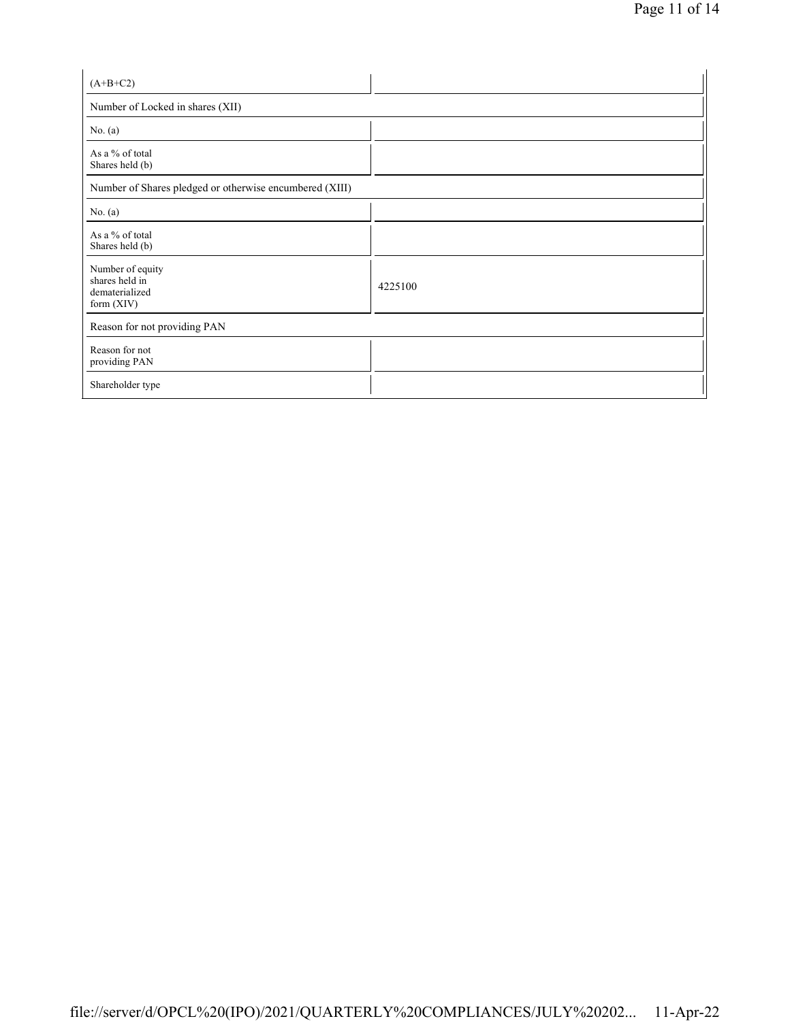| $(A+B+C2)$                                                           |         |  |  |  |  |  |
|----------------------------------------------------------------------|---------|--|--|--|--|--|
| Number of Locked in shares (XII)                                     |         |  |  |  |  |  |
| No. $(a)$                                                            |         |  |  |  |  |  |
| As a % of total<br>Shares held (b)                                   |         |  |  |  |  |  |
| Number of Shares pledged or otherwise encumbered (XIII)              |         |  |  |  |  |  |
| No. (a)                                                              |         |  |  |  |  |  |
| As a % of total<br>Shares held (b)                                   |         |  |  |  |  |  |
| Number of equity<br>shares held in<br>dematerialized<br>form $(XIV)$ | 4225100 |  |  |  |  |  |
| Reason for not providing PAN                                         |         |  |  |  |  |  |
| Reason for not<br>providing PAN                                      |         |  |  |  |  |  |
| Shareholder type                                                     |         |  |  |  |  |  |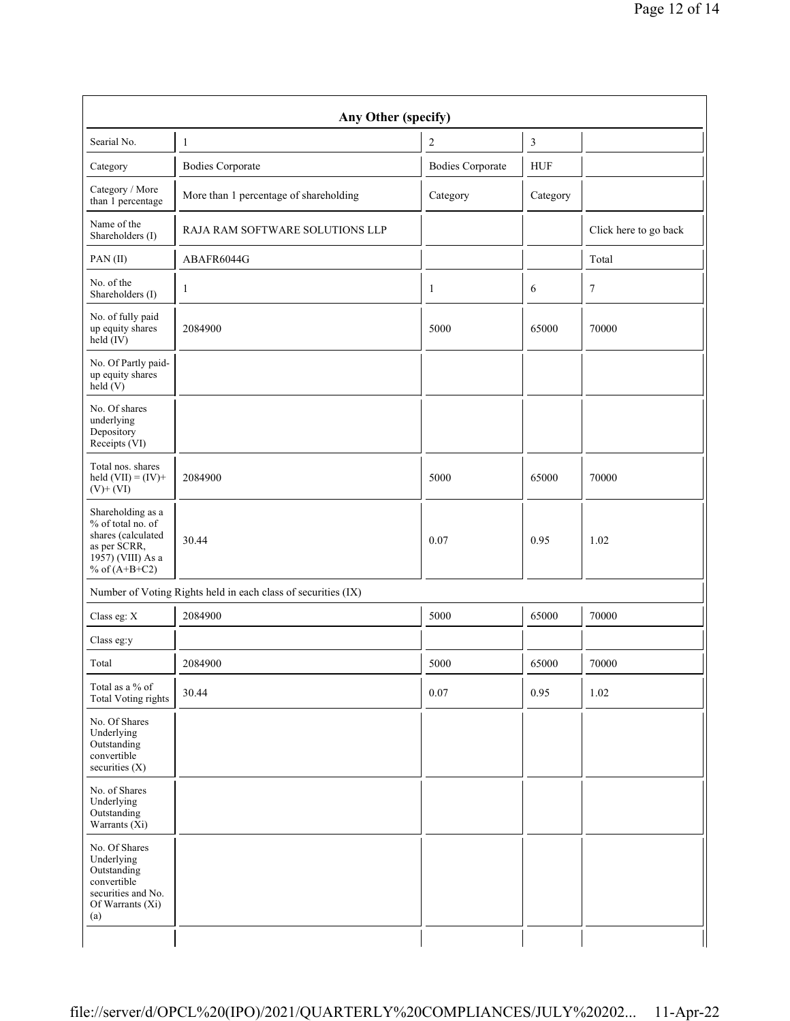|                                                                                                                                    | Any Other (specify)                                           |                         |               |                       |  |  |  |  |  |  |  |
|------------------------------------------------------------------------------------------------------------------------------------|---------------------------------------------------------------|-------------------------|---------------|-----------------------|--|--|--|--|--|--|--|
| Searial No.                                                                                                                        | $\mathbf{1}$                                                  | $\sqrt{2}$              | $\mathfrak z$ |                       |  |  |  |  |  |  |  |
| Category                                                                                                                           | <b>Bodies Corporate</b>                                       | <b>Bodies Corporate</b> | <b>HUF</b>    |                       |  |  |  |  |  |  |  |
| Category / More<br>than 1 percentage                                                                                               | More than 1 percentage of shareholding                        | Category                | Category      |                       |  |  |  |  |  |  |  |
| Name of the<br>Shareholders (I)                                                                                                    | RAJA RAM SOFTWARE SOLUTIONS LLP                               |                         |               | Click here to go back |  |  |  |  |  |  |  |
| PAN(II)                                                                                                                            | ABAFR6044G                                                    |                         |               | Total                 |  |  |  |  |  |  |  |
| No. of the<br>Shareholders (I)                                                                                                     | 1                                                             | 1                       | 6             | 7                     |  |  |  |  |  |  |  |
| No. of fully paid<br>up equity shares<br>$\text{held}(\text{IV})$                                                                  | 2084900                                                       | 5000                    | 65000         | 70000                 |  |  |  |  |  |  |  |
| No. Of Partly paid-<br>up equity shares<br>held $(V)$                                                                              |                                                               |                         |               |                       |  |  |  |  |  |  |  |
| No. Of shares<br>underlying<br>Depository<br>Receipts (VI)                                                                         |                                                               |                         |               |                       |  |  |  |  |  |  |  |
| Total nos. shares<br>held $(VII) = (IV) +$<br>$(V)$ + $(VI)$                                                                       | 2084900                                                       | 5000                    | 65000         | 70000                 |  |  |  |  |  |  |  |
| Shareholding as a<br>% of total no. of<br>shares (calculated<br>as per SCRR,<br>$19\overline{57}$ ) (VIII) As a<br>% of $(A+B+C2)$ | 30.44                                                         | 0.07                    | 0.95          | 1.02                  |  |  |  |  |  |  |  |
|                                                                                                                                    | Number of Voting Rights held in each class of securities (IX) |                         |               |                       |  |  |  |  |  |  |  |
| Class eg: X                                                                                                                        | 2084900                                                       | 5000                    | 65000         | 70000                 |  |  |  |  |  |  |  |
| Class eg:y                                                                                                                         |                                                               |                         |               |                       |  |  |  |  |  |  |  |
| Total                                                                                                                              | 2084900                                                       | 5000                    | 65000         | 70000                 |  |  |  |  |  |  |  |
| Total as a % of<br><b>Total Voting rights</b>                                                                                      | 30.44                                                         | 0.07                    | 0.95          | 1.02                  |  |  |  |  |  |  |  |
| No. Of Shares<br>Underlying<br>Outstanding<br>convertible<br>securities $(X)$                                                      |                                                               |                         |               |                       |  |  |  |  |  |  |  |
| No. of Shares<br>Underlying<br>Outstanding<br>Warrants (Xi)                                                                        |                                                               |                         |               |                       |  |  |  |  |  |  |  |
| No. Of Shares<br>Underlying<br>Outstanding<br>convertible<br>securities and No.<br>Of Warrants (Xi)<br>(a)                         |                                                               |                         |               |                       |  |  |  |  |  |  |  |
|                                                                                                                                    |                                                               |                         |               |                       |  |  |  |  |  |  |  |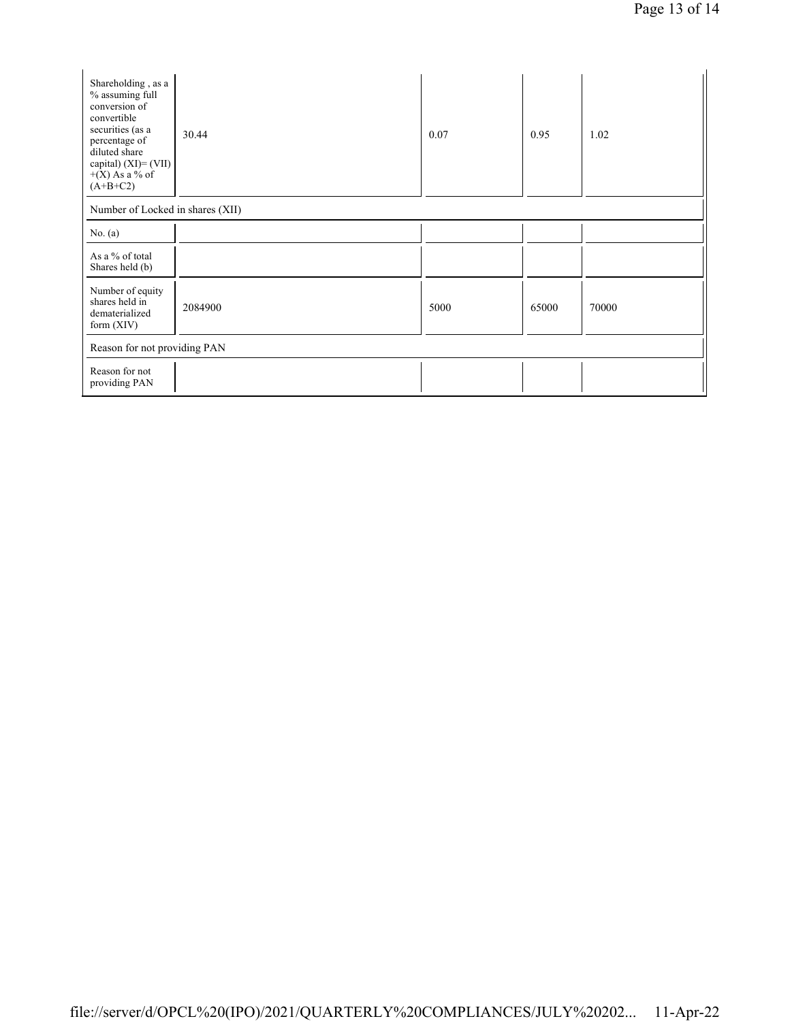| Shareholding, as a<br>% assuming full<br>conversion of<br>convertible<br>securities (as a<br>percentage of<br>diluted share<br>capital) $(XI) = (VII)$<br>$+(X)$ As a % of<br>$(A+B+C2)$ | 30.44   | 0.07 | 0.95  | 1.02  |
|------------------------------------------------------------------------------------------------------------------------------------------------------------------------------------------|---------|------|-------|-------|
| Number of Locked in shares (XII)                                                                                                                                                         |         |      |       |       |
| No. $(a)$                                                                                                                                                                                |         |      |       |       |
| As a % of total<br>Shares held (b)                                                                                                                                                       |         |      |       |       |
| Number of equity<br>shares held in<br>dematerialized<br>form $(XIV)$                                                                                                                     | 2084900 | 5000 | 65000 | 70000 |
| Reason for not providing PAN                                                                                                                                                             |         |      |       |       |
| Reason for not<br>providing PAN                                                                                                                                                          |         |      |       |       |